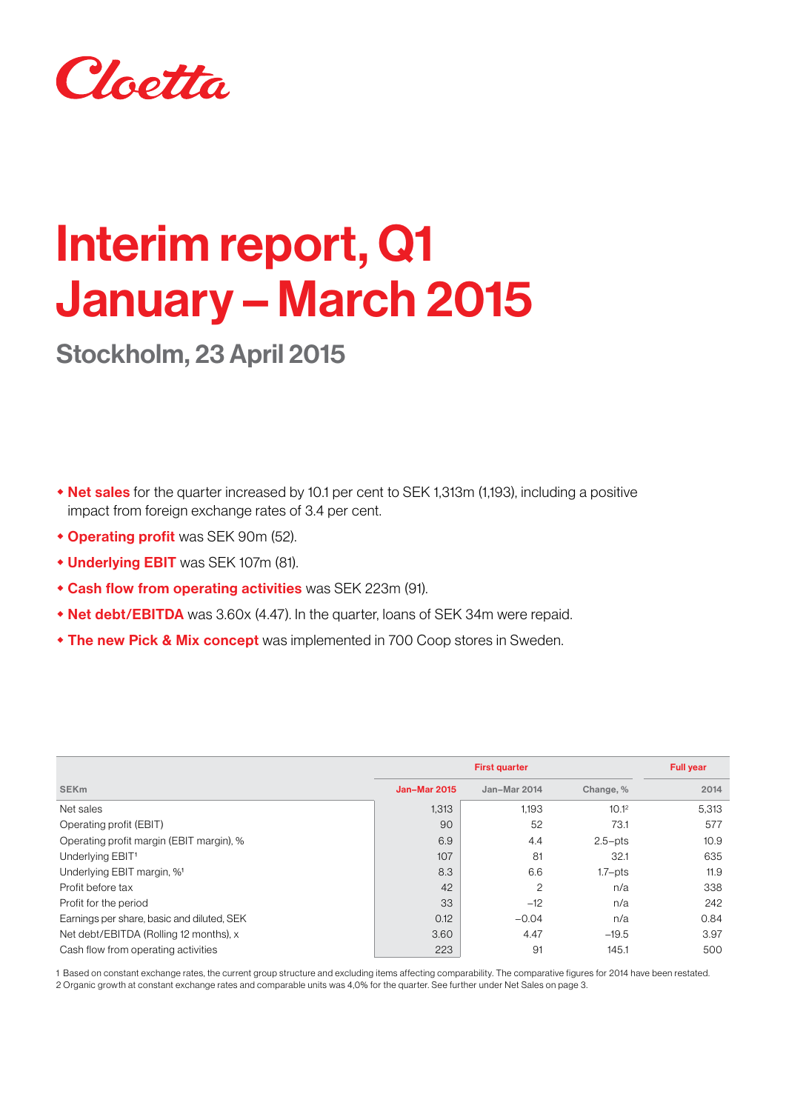

# Interim report, Q1 January – March 2015

Stockholm, 23 April 2015

- Net sales for the quarter increased by 10.1 per cent to SEK 1,313m (1,193), including a positive impact from foreign exchange rates of 3.4 per cent.
- **\* Operating profit** was SEK 90m (52).
- **+ Underlying EBIT** was SEK 107m (81).
- **Cash flow from operating activities** was SEK 223m (91).
- Net debt/EBITDA was 3.60x (4.47). In the quarter, loans of SEK 34m were repaid.
- **The new Pick & Mix concept** was implemented in 700 Coop stores in Sweden.

|                                            |                     | <b>Full year</b> |                   |       |
|--------------------------------------------|---------------------|------------------|-------------------|-------|
| <b>SEK<sub>m</sub></b>                     | <b>Jan-Mar 2015</b> | Jan-Mar 2014     | Change, %         | 2014  |
| Net sales                                  | 1,313               | 1,193            | 10.1 <sup>2</sup> | 5,313 |
| Operating profit (EBIT)                    | 90                  | 52               | 73.1              | 577   |
| Operating profit margin (EBIT margin), %   | 6.9                 | 4.4              | $2.5 - pts$       | 10.9  |
| Underlying EBIT <sup>1</sup>               | 107                 | 81               | 32.1              | 635   |
| Underlying EBIT margin, % <sup>1</sup>     | 8.3                 | 6.6              | $1.7 - pts$       | 11.9  |
| Profit before tax                          | 42                  | 2                | n/a               | 338   |
| Profit for the period                      | 33                  | $-12$            | n/a               | 242   |
| Earnings per share, basic and diluted, SEK | 0.12                | $-0.04$          | n/a               | 0.84  |
| Net debt/EBITDA (Rolling 12 months), x     | 3.60                | 4.47             | $-19.5$           | 3.97  |
| Cash flow from operating activities        | 223                 | 91               | 145.1             | 500   |

1 Based on constant exchange rates, the current group structure and excluding items affecting comparability. The comparative figures for 2014 have been restated. 2 Organic growth at constant exchange rates and comparable units was 4,0% for the quarter. See further under Net Sales on page 3.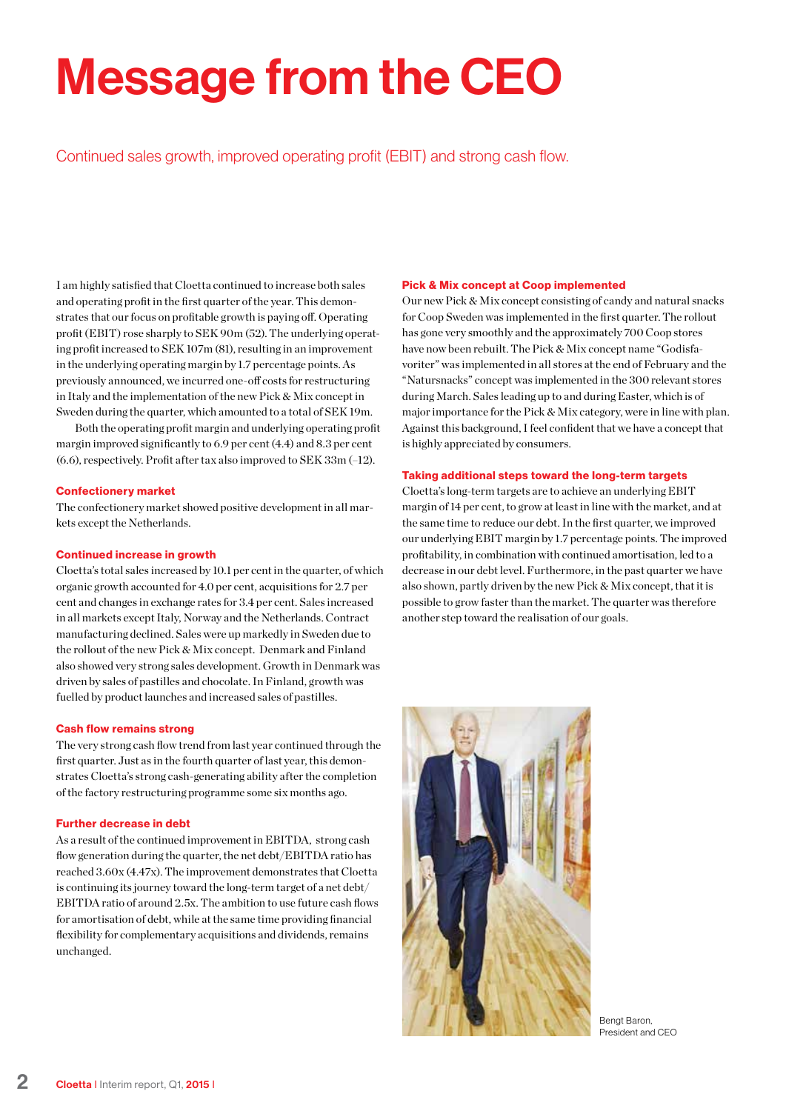# Message from the CEO

Continued sales growth, improved operating profit (EBIT) and strong cash flow.

I am highly satisfied that Cloetta continued to increase both sales and operating profit in the first quarter of the year. This demonstrates that our focus on profitable growth is paying off. Operating profit (EBIT) rose sharply to SEK 90m (52). The underlying operating profit increased to SEK 107m (81), resulting in an improvement in the underlying operating margin by 1.7 percentage points. As previously announced, we incurred one-off costs for restructuring in Italy and the implementation of the new Pick & Mix concept in Sweden during the quarter, which amounted to a total of SEK 19m.

Both the operating profit margin and underlying operating profit margin improved significantly to 6.9 per cent (4.4) and 8.3 per cent (6.6), respectively. Profit after tax also improved to SEK 33m (–12).

### Confectionery market

The confectionery market showed positive development in all markets except the Netherlands.

#### Continued increase in growth

Cloetta's total sales increased by 10.1 per cent in the quarter, of which organic growth accounted for 4.0 per cent, acquisitions for 2.7 per cent and changes in exchange rates for 3.4 per cent. Sales increased in all markets except Italy, Norway and the Netherlands. Contract manufacturing declined. Sales were up markedly in Sweden due to the rollout of the new Pick & Mix concept. Denmark and Finland also showed very strong sales development. Growth in Denmark was driven by sales of pastilles and chocolate. In Finland, growth was fuelled by product launches and increased sales of pastilles.

### Cash flow remains strong

The very strong cash flow trend from last year continued through the first quarter. Just as in the fourth quarter of last year, this demonstrates Cloetta's strong cash-generating ability after the completion of the factory restructuring programme some six months ago.

#### Further decrease in debt

As a result of the continued improvement in EBITDA, strong cash flow generation during the quarter, the net debt/EBITDA ratio has reached 3.60x (4.47x). The improvement demonstrates that Cloetta is continuing its journey toward the long-term target of a net debt/ EBITDA ratio of around 2.5x. The ambition to use future cash flows for amortisation of debt, while at the same time providing financial flexibility for complementary acquisitions and dividends, remains unchanged.

### Pick & Mix concept at Coop implemented

Our new Pick & Mix concept consisting of candy and natural snacks for Coop Sweden was implemented in the first quarter. The rollout has gone very smoothly and the approximately 700 Coop stores have now been rebuilt. The Pick & Mix concept name "Godisfavoriter" was implemented in all stores at the end of February and the "Natursnacks" concept was implemented in the 300 relevant stores during March. Sales leading up to and during Easter, which is of major importance for the Pick & Mix category, were in line with plan. Against this background, I feel confident that we have a concept that is highly appreciated by consumers.

### Taking additional steps toward the long-term targets

Cloetta's long-term targets are to achieve an underlying EBIT margin of 14 per cent, to grow at least in line with the market, and at the same time to reduce our debt. In the first quarter, we improved our underlying EBIT margin by 1.7 percentage points. The improved profitability, in combination with continued amortisation, led to a decrease in our debt level. Furthermore, in the past quarter we have also shown, partly driven by the new Pick & Mix concept, that it is possible to grow faster than the market. The quarter was therefore another step toward the realisation of our goals.



Bengt Baron, President and CEO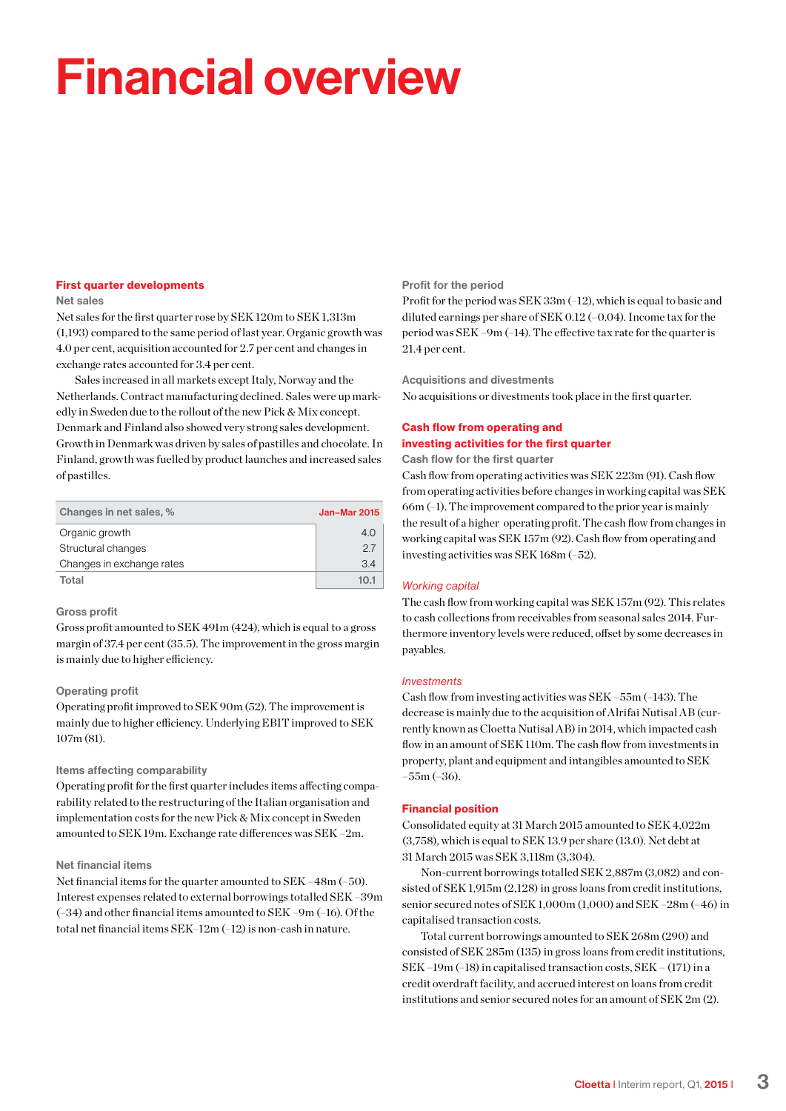# Financial overview

#### First quarter developments

### Net sales

Net sales for the first quarter rose by SEK 120m to SEK 1,313m (1,193) compared to the same period of last year. Organic growth was 4.0 per cent, acquisition accounted for 2.7 per cent and changes in exchange rates accounted for 3.4 per cent.

Sales increased in all markets except Italy, Norway and the Netherlands. Contract manufacturing declined. Sales were up markedly in Sweden due to the rollout of the new Pick & Mix concept. Denmark and Finland also showed very strong sales development. Growth in Denmark was driven by sales of pastilles and chocolate. In Finland, growth was fuelled by product launches and increased sales of pastilles.

| Changes in net sales, %   | <b>Jan-Mar 2015</b> |
|---------------------------|---------------------|
| Organic growth            | 4.0                 |
| Structural changes        | 27                  |
| Changes in exchange rates | 3.4                 |
| Total                     | 10.1                |

### Gross profit

Gross profit amounted to SEK 491m (424), which is equal to a gross margin of 37.4 per cent (35.5). The improvement in the gross margin is mainly due to higher efficiency.

### Operating profit

Operating profit improved to SEK 90m (52). The improvement is mainly due to higher efficiency. Underlying EBIT improved to SEK 107m (81).

### Items affecting comparability

Operating profit for the first quarter includes items affecting comparability related to the restructuring of the Italian organisation and implementation costs for the new Pick & Mix concept in Sweden amounted to SEK 19m. Exchange rate differences was SEK –2m.

#### Net financial items

Net financial items for the quarter amounted to SEK –48m (–50). Interest expenses related to external borrowings totalled SEK –39m (–34) and other financial items amounted to SEK –9m (–16). Of the total net financial items SEK–12m (–12) is non-cash in nature.

#### Profit for the period

Profit for the period was SEK 33m (–12), which is equal to basic and diluted earnings per share of SEK 0.12 (–0.04). Income tax for the period was SEK –9m (–14). The effective tax rate for the quarter is 21.4 per cent.

Acquisitions and divestments No acquisitions or divestments took place in the first quarter.

### Cash flow from operating and investing activities for the first quarter

Cash flow for the first quarter

Cash flow from operating activities was SEK 223m (91). Cash flow from operating activities before changes in working capital was SEK 66m (–1). The improvement compared to the prior year is mainly the result of a higher operating profit. The cash flow from changes in working capital was SEK 157m (92). Cash flow from operating and investing activities was SEK 168m (–52).

### *Working capital*

The cash flow from working capital was SEK 157m (92). This relates to cash collections from receivables from seasonal sales 2014. Furthermore inventory levels were reduced, offset by some decreases in payables.

#### *Investments*

Cash flow from investing activities was SEK –55m (–143). The decrease is mainly due to the acquisition of Alrifai Nutisal AB (currently known as Cloetta Nutisal AB) in 2014, which impacted cash flow in an amount of SEK 110m. The cash flow from investments in property, plant and equipment and intangibles amounted to SEK –55m (–36).

### Financial position

Consolidated equity at 31 March 2015 amounted to SEK 4,022m (3,758), which is equal to SEK 13.9 per share (13.0). Net debt at 31 March 2015 was SEK 3,118m (3,304).

Non-current borrowings totalled SEK 2,887m (3,082) and consisted of SEK 1,915m (2,128) in gross loans from credit institutions, senior secured notes of SEK 1,000m (1,000) and SEK –28m (–46) in capitalised transaction costs.

Total current borrowings amounted to SEK 268m (290) and consisted of SEK 285m (135) in gross loans from credit institutions, SEK –19m (–18) in capitalised transaction costs, SEK – (171) in a credit overdraft facility, and accrued interest on loans from credit institutions and senior secured notes for an amount of SEK 2m (2).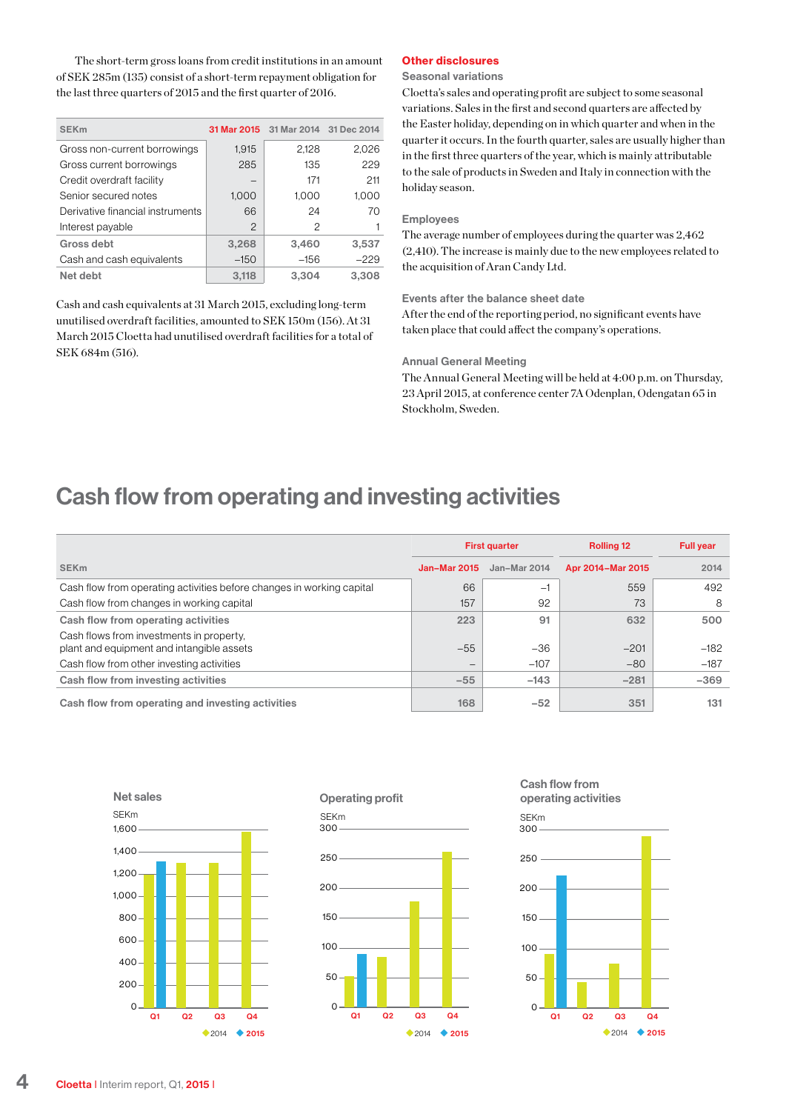The short-term gross loans from credit institutions in an amount of SEK 285m (135) consist of a short-term repayment obligation for the last three quarters of 2015 and the first quarter of 2016.

| <b>SEK<sub>m</sub></b>           | 31 Mar 2015   |        | 31 Mar 2014 31 Dec 2014 |
|----------------------------------|---------------|--------|-------------------------|
| Gross non-current borrowings     | 1,915         | 2,128  | 2,026                   |
| Gross current borrowings         | 285           | 135    | 229                     |
| Credit overdraft facility        |               | 171    | 211                     |
| Senior secured notes             | 1.000         | 1.000  | 1.000                   |
| Derivative financial instruments | 66            | 24     | 70                      |
| Interest payable                 | $\mathcal{P}$ | 2      |                         |
| Gross debt                       | 3,268         | 3,460  | 3,537                   |
| Cash and cash equivalents        | $-150$        | $-156$ | $-229$                  |
| Net debt                         | 3.118         | 3.304  | 3.308                   |

Cash and cash equivalents at 31 March 2015, excluding long-term unutilised overdraft facilities, amounted to SEK 150m (156). At 31 March 2015 Cloetta had unutilised overdraft facilities for a total of SEK 684m (516).

### Other disclosures

#### Seasonal variations

Cloetta's sales and operating profit are subject to some seasonal variations. Sales in the first and second quarters are affected by the Easter holiday, depending on in which quarter and when in the quarter it occurs. In the fourth quarter, sales are usually higher than in the first three quarters of the year, which is mainly attributable to the sale of products in Sweden and Italy in connection with the holiday season.

#### Employees

The average number of employees during the quarter was 2,462 (2,410). The increase is mainly due to the new employees related to the acquisition of Aran Candy Ltd.

Events after the balance sheet date

After the end of the reporting period, no significant events have taken place that could affect the company's operations.

#### Annual General Meeting

The Annual General Meeting will be held at 4:00 p.m. on Thursday, 23 April 2015, at conference center 7A Odenplan, Odengatan 65 in Stockholm, Sweden.

### Cash flow from operating and investing activities

|                                                                                       |                          | <b>First quarter</b> | <b>Rolling 12</b> | <b>Full year</b> |
|---------------------------------------------------------------------------------------|--------------------------|----------------------|-------------------|------------------|
| <b>SEK<sub>m</sub></b>                                                                | <b>Jan-Mar 2015</b>      | Jan-Mar 2014         | Apr 2014-Mar 2015 | 2014             |
| Cash flow from operating activities before changes in working capital                 | 66                       | $-1$                 | 559               | 492              |
| Cash flow from changes in working capital                                             | 157                      | 92                   | 73                | 8                |
| Cash flow from operating activities                                                   | 223                      | 91                   | 632               | 500              |
| Cash flows from investments in property,<br>plant and equipment and intangible assets | $-55$                    | $-36$                | $-201$            | $-182$           |
| Cash flow from other investing activities                                             | $\overline{\phantom{0}}$ | $-107$               | $-80$             | $-187$           |
| Cash flow from investing activities                                                   | $-55$                    | $-143$               | $-281$            | $-369$           |
| Cash flow from operating and investing activities                                     | 168                      | $-52$                | 351               | 131              |





Cash flow from operating activities

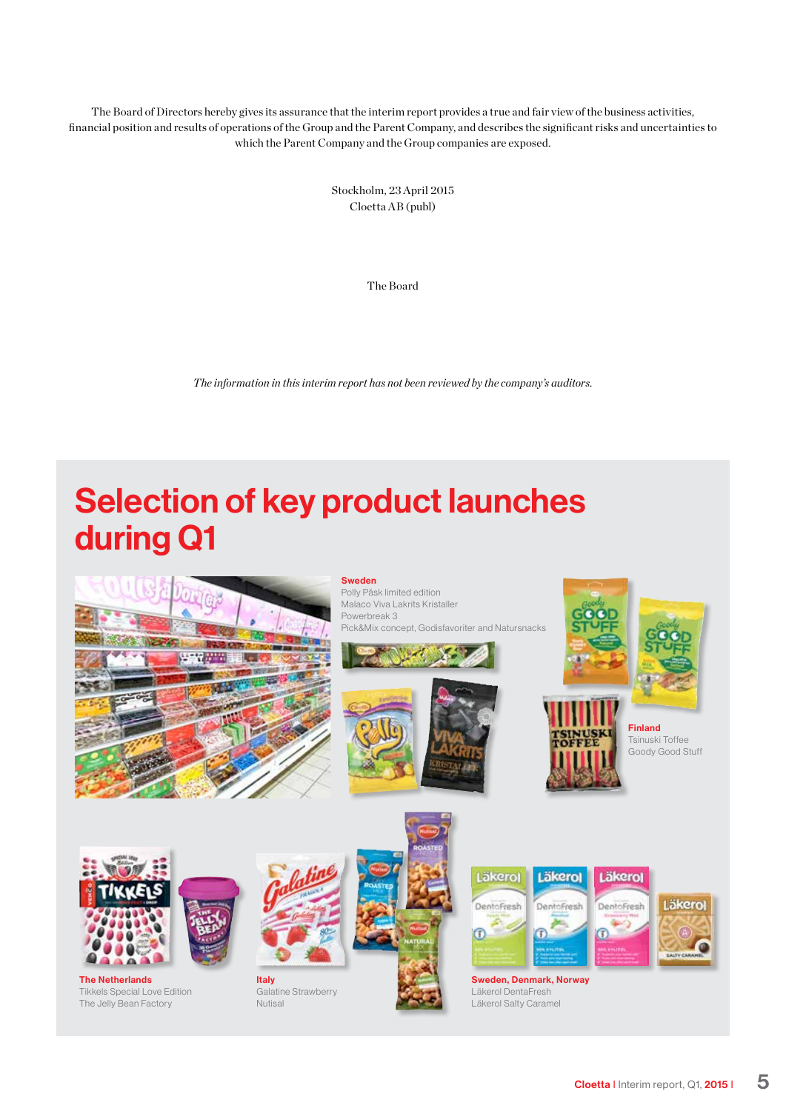The Board of Directors hereby gives its assurance that the interim report provides a true and fair view of the business activities, financial position and results of operations of the Group and the Parent Company, and describes the significant risks and uncertainties to which the Parent Company and the Group companies are exposed.

> Stockholm, 23 April 2015 Cloetta AB (publ)

> > The Board

*The information in this interim report has not been reviewed by the company's auditors.*

# Selection of key product launches during Q1



Tikkels Special Love Edition The Jelly Bean Factory

Galatine Strawberry Nutisal

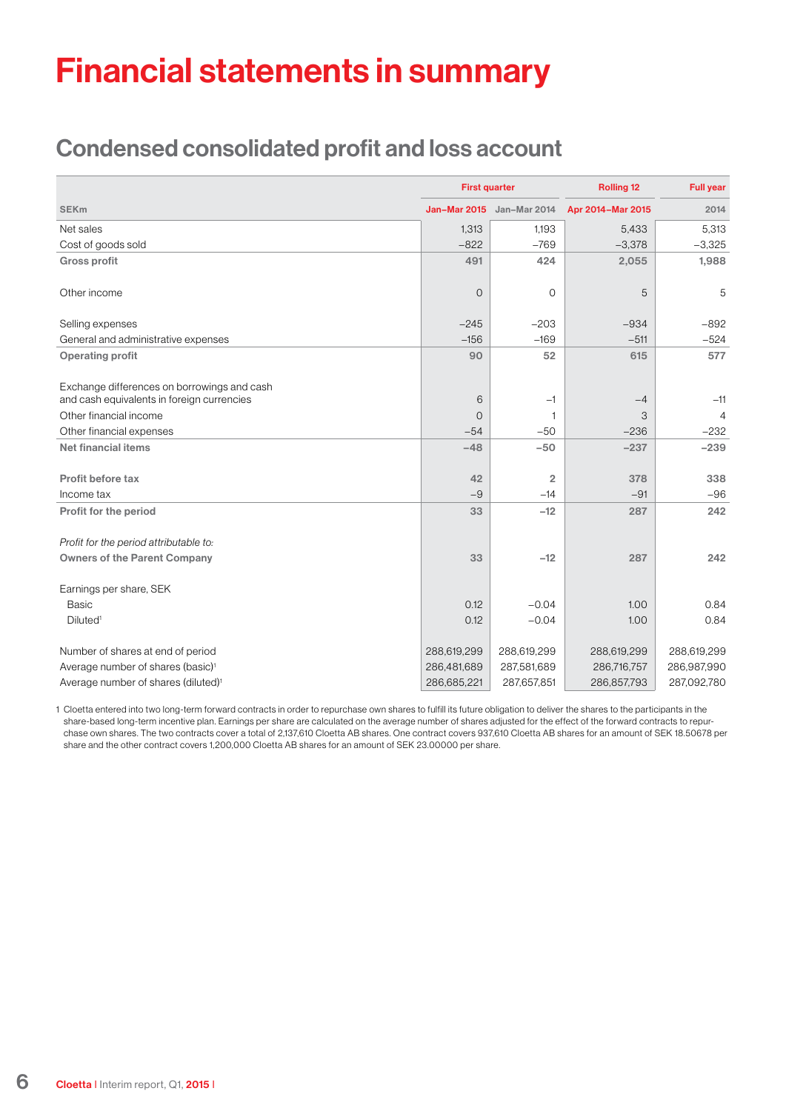# Financial statements in summary

### Condensed consolidated profit and loss account

|                                                 | <b>First quarter</b> |                           | <b>Rolling 12</b> | <b>Full year</b> |  |
|-------------------------------------------------|----------------------|---------------------------|-------------------|------------------|--|
| <b>SEKm</b>                                     |                      | Jan-Mar 2015 Jan-Mar 2014 | Apr 2014-Mar 2015 | 2014             |  |
| Net sales                                       | 1,313                | 1,193                     | 5,433             | 5,313            |  |
| Cost of goods sold                              | $-822$               | $-769$                    | $-3,378$          | $-3,325$         |  |
| <b>Gross profit</b>                             | 491                  | 424                       | 2,055             | 1,988            |  |
| Other income                                    | $\Omega$             | $\Omega$                  | 5                 | 5                |  |
| Selling expenses                                | $-245$               | $-203$                    | $-934$            | $-892$           |  |
| General and administrative expenses             | $-156$               | $-169$                    | $-511$            | $-524$           |  |
| <b>Operating profit</b>                         | 90                   | 52                        | 615               | 577              |  |
| Exchange differences on borrowings and cash     |                      |                           |                   |                  |  |
| and cash equivalents in foreign currencies      | 6                    | $-1$                      | $-4$              | $-11$            |  |
| Other financial income                          | $\Omega$             | 1                         | 3                 | $\overline{4}$   |  |
| Other financial expenses                        | $-54$                | $-50$                     | $-236$            | $-232$           |  |
| <b>Net financial items</b>                      | $-48$                | $-50$                     | $-237$            | $-239$           |  |
| Profit before tax                               | 42                   | $\overline{2}$            | 378               | 338              |  |
| Income tax                                      | $-9$                 | $-14$                     | $-91$             | $-96$            |  |
| Profit for the period                           | 33                   | $-12$                     | 287               | 242              |  |
| Profit for the period attributable to:          |                      |                           |                   |                  |  |
| <b>Owners of the Parent Company</b>             | 33                   | $-12$                     | 287               | 242              |  |
| Earnings per share, SEK                         |                      |                           |                   |                  |  |
| <b>Basic</b>                                    | 0.12                 | $-0.04$                   | 1.00              | 0.84             |  |
| Diluted <sup>1</sup>                            | 0.12                 | $-0.04$                   | 1.00              | 0.84             |  |
| Number of shares at end of period               | 288,619,299          | 288,619,299               | 288,619,299       | 288,619,299      |  |
| Average number of shares (basic) <sup>1</sup>   | 286,481,689          | 287,581,689               | 286,716,757       | 286,987,990      |  |
| Average number of shares (diluted) <sup>1</sup> | 286,685,221          | 287,657,851               | 286,857,793       | 287,092,780      |  |

1 Cloetta entered into two long-term forward contracts in order to repurchase own shares to fulfill its future obligation to deliver the shares to the participants in the share-based long-term incentive plan. Earnings per share are calculated on the average number of shares adjusted for the effect of the forward contracts to repurchase own shares. The two contracts cover a total of 2,137,610 Cloetta AB shares. One contract covers 937,610 Cloetta AB shares for an amount of SEK 18.50678 per share and the other contract covers 1,200,000 Cloetta AB shares for an amount of SEK 23.00000 per share.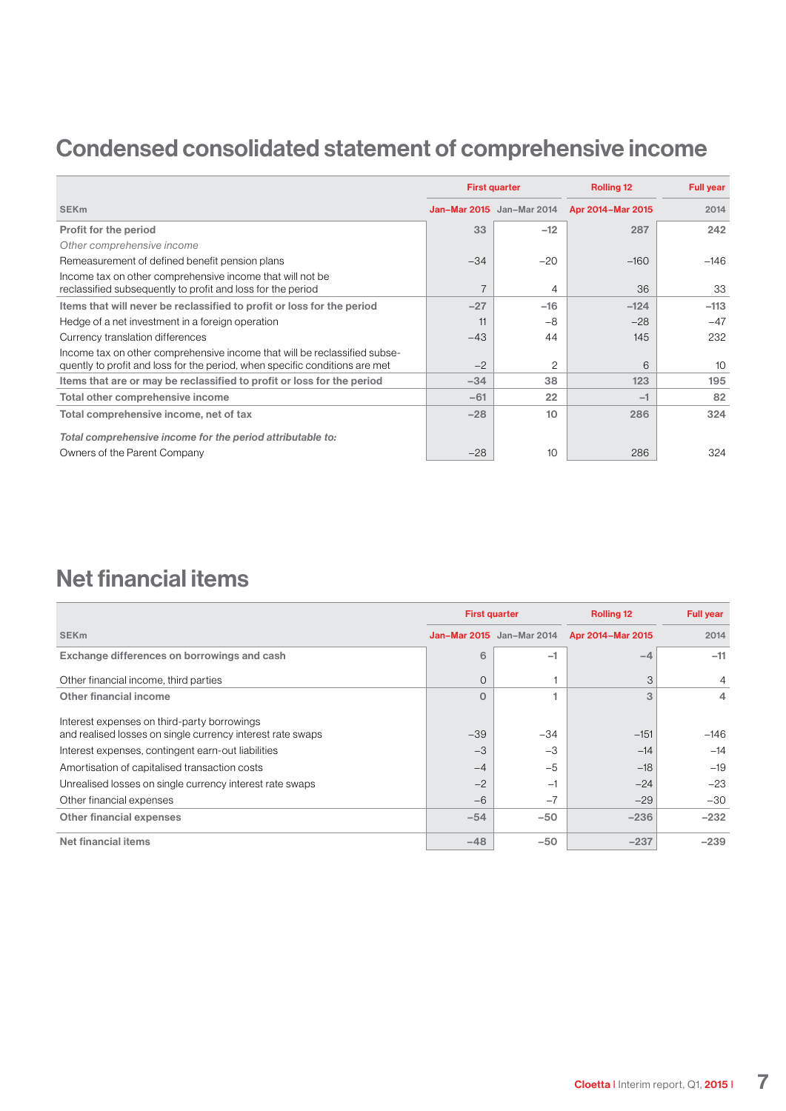## Condensed consolidated statement of comprehensive income

|                                                                                                                                                          |       | <b>First quarter</b><br><b>Rolling 12</b> |                   | <b>Full year</b> |
|----------------------------------------------------------------------------------------------------------------------------------------------------------|-------|-------------------------------------------|-------------------|------------------|
| <b>SEK<sub>m</sub></b>                                                                                                                                   |       | <b>Jan-Mar 2015</b> Jan-Mar 2014          | Apr 2014-Mar 2015 | 2014             |
| Profit for the period                                                                                                                                    | 33    | $-12$                                     | 287               | 242              |
| Other comprehensive income                                                                                                                               |       |                                           |                   |                  |
| Remeasurement of defined benefit pension plans                                                                                                           | $-34$ | $-20$                                     | $-160$            | $-146$           |
| Income tax on other comprehensive income that will not be<br>reclassified subsequently to profit and loss for the period                                 |       | 4                                         | 36                | 33               |
| Items that will never be reclassified to profit or loss for the period                                                                                   | $-27$ | $-16$                                     | $-124$            | $-113$           |
| Hedge of a net investment in a foreign operation                                                                                                         | 11    | $-8$                                      | $-28$             | $-47$            |
| Currency translation differences                                                                                                                         | $-43$ | 44                                        | 145               | 232              |
| Income tax on other comprehensive income that will be reclassified subse-<br>quently to profit and loss for the period, when specific conditions are met | $-2$  | $\overline{c}$                            | 6                 | 10               |
| Items that are or may be reclassified to profit or loss for the period                                                                                   | $-34$ | 38                                        | 123               | 195              |
| Total other comprehensive income                                                                                                                         | $-61$ | 22                                        | $-1$              | 82               |
| Total comprehensive income, net of tax                                                                                                                   | $-28$ | 10 <sup>1</sup>                           | 286               | 324              |
| Total comprehensive income for the period attributable to:                                                                                               |       |                                           |                   |                  |
| Owners of the Parent Company                                                                                                                             | $-28$ | 10                                        | 286               | 324              |

### Net financial items

|                                                                                                           | <b>First quarter</b> |                                  | <b>Rolling 12</b><br><b>Full year</b> |                |
|-----------------------------------------------------------------------------------------------------------|----------------------|----------------------------------|---------------------------------------|----------------|
| <b>SEK<sub>m</sub></b>                                                                                    |                      | <b>Jan-Mar 2015</b> Jan-Mar 2014 | Apr 2014-Mar 2015                     | 2014           |
| Exchange differences on borrowings and cash                                                               | 6                    | $-1$                             | -4                                    | $-11$          |
| Other financial income, third parties                                                                     | $\Omega$             |                                  | 3                                     | $\overline{4}$ |
| Other financial income                                                                                    | $\Omega$             |                                  | 3                                     | 4              |
| Interest expenses on third-party borrowings<br>and realised losses on single currency interest rate swaps | $-39$                | $-34$                            | $-151$                                | $-146$         |
| Interest expenses, contingent earn-out liabilities                                                        | $-3$                 | $-3$                             | $-14$                                 | $-14$          |
| Amortisation of capitalised transaction costs                                                             | $-4$                 | $-5$                             | $-18$                                 | $-19$          |
| Unrealised losses on single currency interest rate swaps                                                  | $-2$                 | Ξ,                               | $-24$                                 | $-23$          |
| Other financial expenses                                                                                  | $-6$                 | $-7$                             | $-29$                                 | $-30$          |
| Other financial expenses                                                                                  | $-54$                | $-50$                            | $-236$                                | $-232$         |
| Net financial items                                                                                       | $-48$                | $-50$                            | $-237$                                | $-239$         |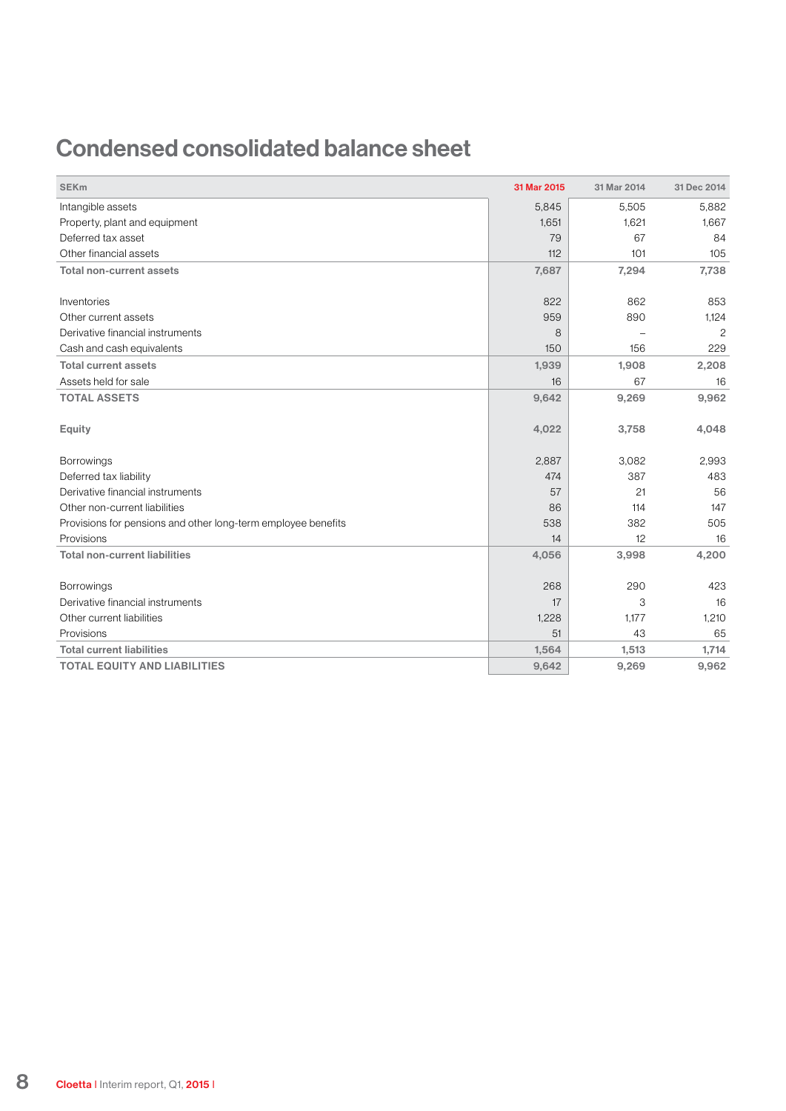### Condensed consolidated balance sheet

| <b>SEK<sub>m</sub></b>                                        | 31 Mar 2015 | 31 Mar 2014 | 31 Dec 2014    |
|---------------------------------------------------------------|-------------|-------------|----------------|
| Intangible assets                                             | 5,845       | 5,505       | 5,882          |
| Property, plant and equipment                                 | 1,651       | 1,621       | 1,667          |
| Deferred tax asset                                            | 79          | 67          | 84             |
| Other financial assets                                        | 112         | 101         | 105            |
| <b>Total non-current assets</b>                               | 7,687       | 7,294       | 7,738          |
| Inventories                                                   | 822         | 862         | 853            |
| Other current assets                                          | 959         | 890         | 1,124          |
| Derivative financial instruments                              | 8           |             | $\overline{c}$ |
| Cash and cash equivalents                                     | 150         | 156         | 229            |
| <b>Total current assets</b>                                   | 1,939       | 1,908       | 2,208          |
| Assets held for sale                                          | 16          | 67          | 16             |
| <b>TOTAL ASSETS</b>                                           | 9,642       | 9,269       | 9,962          |
| <b>Equity</b>                                                 | 4,022       | 3,758       | 4,048          |
| Borrowings                                                    | 2,887       | 3,082       | 2,993          |
| Deferred tax liability                                        | 474         | 387         | 483            |
| Derivative financial instruments                              | 57          | 21          | 56             |
| Other non-current liabilities                                 | 86          | 114         | 147            |
| Provisions for pensions and other long-term employee benefits | 538         | 382         | 505            |
| Provisions                                                    | 14          | 12          | 16             |
| <b>Total non-current liabilities</b>                          | 4,056       | 3,998       | 4,200          |
| <b>Borrowings</b>                                             | 268         | 290         | 423            |
| Derivative financial instruments                              | 17          | 3           | 16             |
| Other current liabilities                                     | 1,228       | 1,177       | 1,210          |
| Provisions                                                    | 51          | 43          | 65             |
| <b>Total current liabilities</b>                              | 1,564       | 1,513       | 1,714          |
| <b>TOTAL EQUITY AND LIABILITIES</b>                           | 9,642       | 9,269       | 9,962          |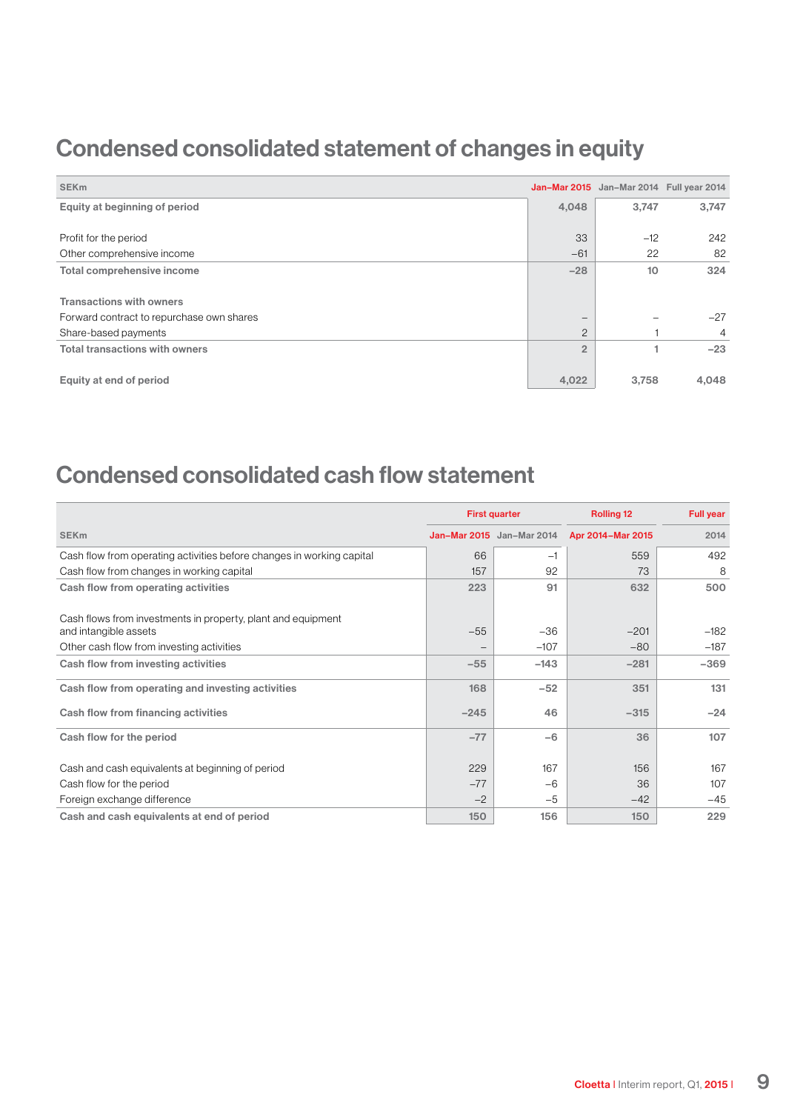### Condensed consolidated statement of changes in equity

| <b>SEK<sub>m</sub></b>                    |                   | Jan-Mar 2015 Jan-Mar 2014 Full year 2014 |       |
|-------------------------------------------|-------------------|------------------------------------------|-------|
| Equity at beginning of period             | 4,048             | 3,747                                    | 3,747 |
|                                           |                   |                                          |       |
| Profit for the period                     | 33                | $-12$                                    | 242   |
| Other comprehensive income                | $-61$             | 22                                       | 82    |
| Total comprehensive income                | $-28$             | 10                                       | 324   |
|                                           |                   |                                          |       |
| <b>Transactions with owners</b>           |                   |                                          |       |
| Forward contract to repurchase own shares | $\qquad \qquad -$ |                                          | $-27$ |
| Share-based payments                      | $\overline{2}$    |                                          | 4     |
| <b>Total transactions with owners</b>     | $\overline{2}$    |                                          | $-23$ |
| Equity at end of period                   | 4,022             | 3,758                                    | 4,048 |

### Condensed consolidated cash flow statement

|                                                                       |        | <b>First quarter</b>      | <b>Rolling 12</b> | <b>Full year</b> |
|-----------------------------------------------------------------------|--------|---------------------------|-------------------|------------------|
| <b>SEK<sub>m</sub></b>                                                |        | Jan-Mar 2015 Jan-Mar 2014 | Apr 2014-Mar 2015 | 2014             |
| Cash flow from operating activities before changes in working capital | 66     | -1                        | 559               | 492              |
| Cash flow from changes in working capital                             | 157    | 92                        | 73                | 8                |
| Cash flow from operating activities                                   | 223    | 91                        | 632               | 500              |
| Cash flows from investments in property, plant and equipment          |        |                           |                   |                  |
| and intangible assets                                                 | $-55$  | $-36$                     | $-201$            | $-182$           |
| Other cash flow from investing activities                             |        | $-107$                    | $-80$             | $-187$           |
| Cash flow from investing activities                                   | $-55$  | $-143$                    | $-281$            | $-369$           |
| Cash flow from operating and investing activities                     | 168    | $-52$                     | 351               | 131              |
| Cash flow from financing activities                                   | $-245$ | 46                        | $-315$            | $-24$            |
| Cash flow for the period                                              | $-77$  | $-6$                      | 36                | 107              |
| Cash and cash equivalents at beginning of period                      | 229    | 167                       | 156               | 167              |
| Cash flow for the period                                              | $-77$  | -6                        | 36                | 107              |
| Foreign exchange difference                                           | $-2$   | $-5$                      | $-42$             | $-45$            |
| Cash and cash equivalents at end of period                            | 150    | 156                       | 150               | 229              |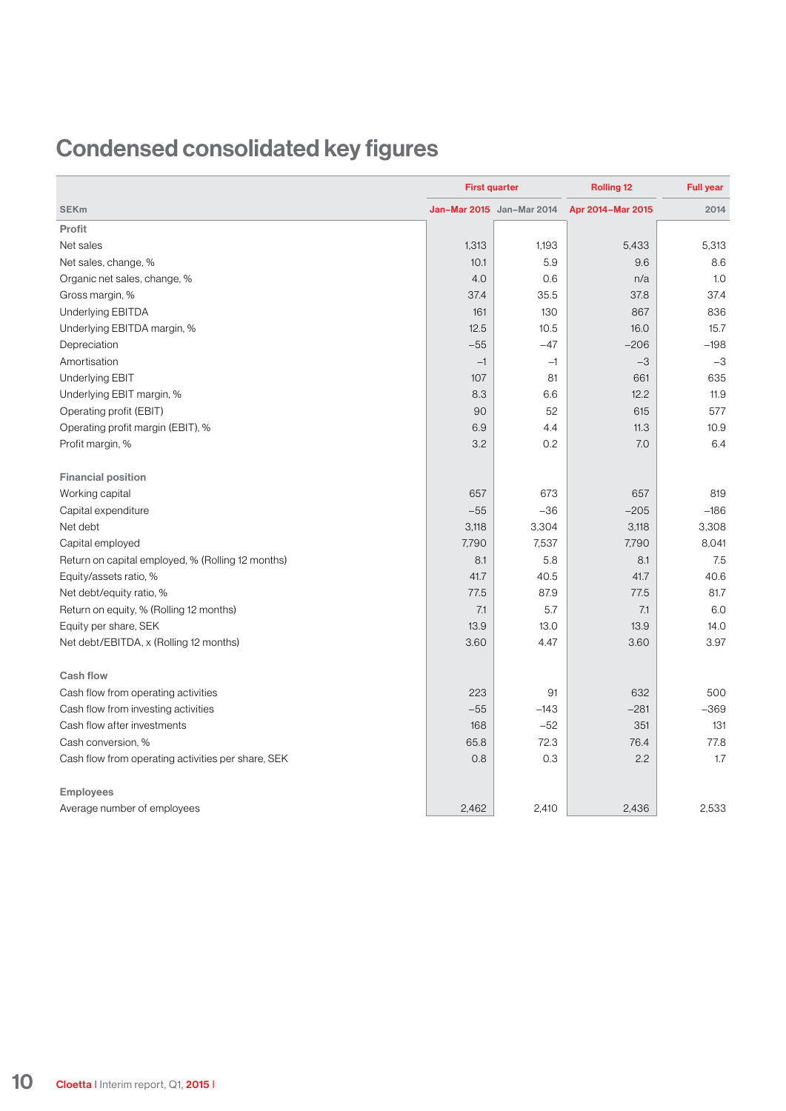## Condensed consolidated key figures

|                                                    | <b>First quarter</b> |                           | <b>Rolling 12</b> | <b>Full year</b> |
|----------------------------------------------------|----------------------|---------------------------|-------------------|------------------|
| <b>SEKm</b>                                        |                      | Jan-Mar 2015 Jan-Mar 2014 | Apr 2014-Mar 2015 | 2014             |
| Profit                                             |                      |                           |                   |                  |
| Net sales                                          | 1,313                | 1,193                     | 5,433             | 5,313            |
| Net sales, change, %                               | 10.1                 | 5.9                       | 9.6               | 8.6              |
| Organic net sales, change, %                       | 4.0                  | 0.6                       | n/a               | 1.0              |
| Gross margin, %                                    | 37.4                 | 35.5                      | 37.8              | 37.4             |
| Underlying EBITDA                                  | 161                  | 130                       | 867               | 836              |
| Underlying EBITDA margin, %                        | 12.5                 | 10.5                      | 16.0              | 15.7             |
| Depreciation                                       | $-55$                | $-47$                     | $-206$            | $-198$           |
| Amortisation                                       | $-1$                 | $-1$                      | $-3$              | $-3$             |
| <b>Underlying EBIT</b>                             | 107                  | 81                        | 661               | 635              |
| Underlying EBIT margin, %                          | 8.3                  | 6.6                       | 12.2              | 11.9             |
| Operating profit (EBIT)                            | 90                   | 52                        | 615               | 577              |
| Operating profit margin (EBIT), %                  | 6.9                  | 4.4                       | 11.3              | 10.9             |
| Profit margin, %                                   | 3.2                  | 0.2                       | 7.0               | 6.4              |
| <b>Financial position</b>                          |                      |                           |                   |                  |
| Working capital                                    | 657                  | 673                       | 657               | 819              |
| Capital expenditure                                | $-55$                | $-36$                     | $-205$            | $-186$           |
| Net debt                                           | 3,118                | 3,304                     | 3,118             | 3,308            |
| Capital employed                                   | 7,790                | 7,537                     | 7,790             | 8,041            |
| Return on capital employed, % (Rolling 12 months)  | 8.1                  | 5.8                       | 8.1               | 7.5              |
| Equity/assets ratio, %                             | 41.7                 | 40.5                      | 41.7              | 40.6             |
| Net debt/equity ratio, %                           | 77.5                 | 87.9                      | 77.5              | 81.7             |
| Return on equity, % (Rolling 12 months)            | 7.1                  | 5.7                       | 7.1               | 6.0              |
| Equity per share, SEK                              | 13.9                 | 13.0                      | 13.9              | 14.0             |
| Net debt/EBITDA, x (Rolling 12 months)             | 3.60                 | 4.47                      | 3.60              | 3.97             |
| <b>Cash flow</b>                                   |                      |                           |                   |                  |
| Cash flow from operating activities                | 223                  | 91                        | 632               | 500              |
| Cash flow from investing activities                | $-55$                | $-143$                    | $-281$            | $-369$           |
| Cash flow after investments                        | 168                  | $-52$                     | 351               | 131              |
| Cash conversion, %                                 | 65.8                 | 72.3                      | 76.4              | 77.8             |
| Cash flow from operating activities per share, SEK | 0.8                  | 0.3                       | 2.2               | 1.7              |
| <b>Employees</b>                                   |                      |                           |                   |                  |
| Average number of employees                        | 2,462                | 2,410                     | 2,436             | 2.533            |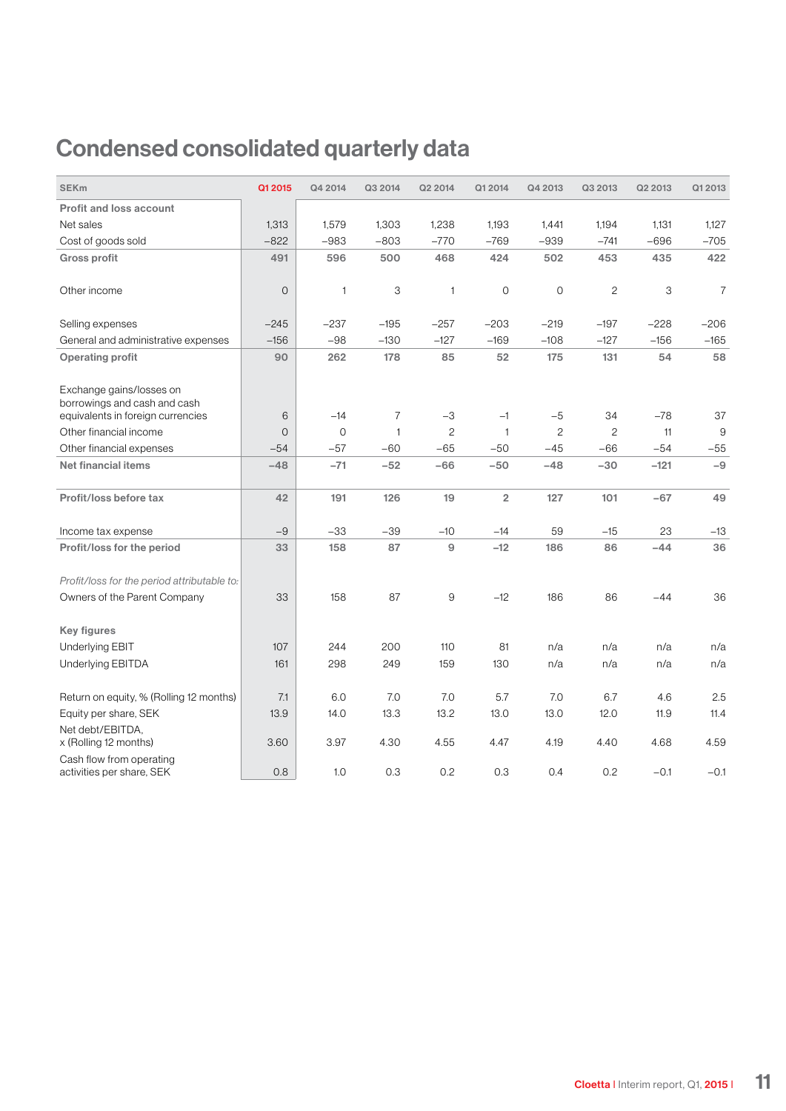## Condensed consolidated quarterly data

| <b>SEKm</b>                                                                                   | Q1 2015     | Q4 2014      | Q3 2014      | Q2 2014      | Q1 2014                 | Q4 2013        | Q3 2013      | Q2 2013 | Q1 2013        |
|-----------------------------------------------------------------------------------------------|-------------|--------------|--------------|--------------|-------------------------|----------------|--------------|---------|----------------|
| <b>Profit and loss account</b>                                                                |             |              |              |              |                         |                |              |         |                |
| Net sales                                                                                     | 1,313       | 1,579        | 1,303        | 1,238        | 1,193                   | 1,441          | 1,194        | 1,131   | 1,127          |
| Cost of goods sold                                                                            | $-822$      | $-983$       | $-803$       | $-770$       | $-769$                  | $-939$         | $-741$       | $-696$  | $-705$         |
| <b>Gross profit</b>                                                                           | 491         | 596          | 500          | 468          | 424                     | 502            | 453          | 435     | 422            |
| Other income                                                                                  | $\mathbf 0$ | $\mathbf{1}$ | 3            | $\mathbf{1}$ | $\circ$                 | $\overline{O}$ | $\mathbf{2}$ | 3       | $\overline{7}$ |
| Selling expenses                                                                              | $-245$      | $-237$       | $-195$       | $-257$       | $-203$                  | $-219$         | $-197$       | $-228$  | $-206$         |
| General and administrative expenses                                                           | $-156$      | $-98$        | $-130$       | $-127$       | $-169$                  | $-108$         | $-127$       | $-156$  | $-165$         |
| <b>Operating profit</b>                                                                       | 90          | 262          | 178          | 85           | 52                      | 175            | 131          | 54      | 58             |
| Exchange gains/losses on<br>borrowings and cash and cash<br>equivalents in foreign currencies | 6           | $-14$        | 7            | $-3$         | $-1$                    | $-5$           | 34           | $-78$   | 37             |
| Other financial income                                                                        | $\mathbf 0$ | $\mathbf 0$  | $\mathbf{1}$ | $\sqrt{2}$   | $\mathbf{1}$            | $\sqrt{2}$     | $\mathbf{2}$ | 11      | 9              |
| Other financial expenses                                                                      | $-54$       | $-57$        | $-60$        | $-65$        | $-50$                   | $-45$          | $-66$        | $-54$   | $-55$          |
| <b>Net financial items</b>                                                                    | $-48$       | $-71$        | $-52$        | $-66$        | $-50$                   | $-48$          | $-30$        | $-121$  | $-9$           |
| Profit/loss before tax                                                                        | 42          | 191          | 126          | 19           | $\overline{\mathbf{c}}$ | 127            | 101          | $-67$   | 49             |
| Income tax expense                                                                            | $-9$        | $-33$        | $-39$        | $-10$        | $-14$                   | 59             | $-15$        | 23      | $-13$          |
| Profit/loss for the period                                                                    | 33          | 158          | 87           | $\mathsf g$  | $-12$                   | 186            | 86           | $-44$   | 36             |
| Profit/loss for the period attributable to:                                                   | 33          | 158          | 87           | 9            | $-12$                   | 186            | 86           |         | 36             |
| Owners of the Parent Company                                                                  |             |              |              |              |                         |                |              | $-44$   |                |
| <b>Key figures</b>                                                                            |             |              |              |              |                         |                |              |         |                |
| Underlying EBIT                                                                               | 107         | 244          | 200          | 110          | 81                      | n/a            | n/a          | n/a     | n/a            |
| Underlying EBITDA                                                                             | 161         | 298          | 249          | 159          | 130                     | n/a            | n/a          | n/a     | n/a            |
| Return on equity, % (Rolling 12 months)                                                       | 7.1         | 6.0          | 7.0          | 7.0          | 5.7                     | 7.0            | 6.7          | 4.6     | 2.5            |
| Equity per share, SEK                                                                         | 13.9        | 14.0         | 13.3         | 13.2         | 13.0                    | 13.0           | 12.0         | 11.9    | 11.4           |
| Net debt/EBITDA,<br>x (Rolling 12 months)                                                     | 3.60        | 3.97         | 4.30         | 4.55         | 4.47                    | 4.19           | 4.40         | 4.68    | 4.59           |
| Cash flow from operating<br>activities per share, SEK                                         | 0.8         | 1.0          | 0.3          | 0.2          | 0.3                     | 0.4            | 0.2          | $-0.1$  | $-0.1$         |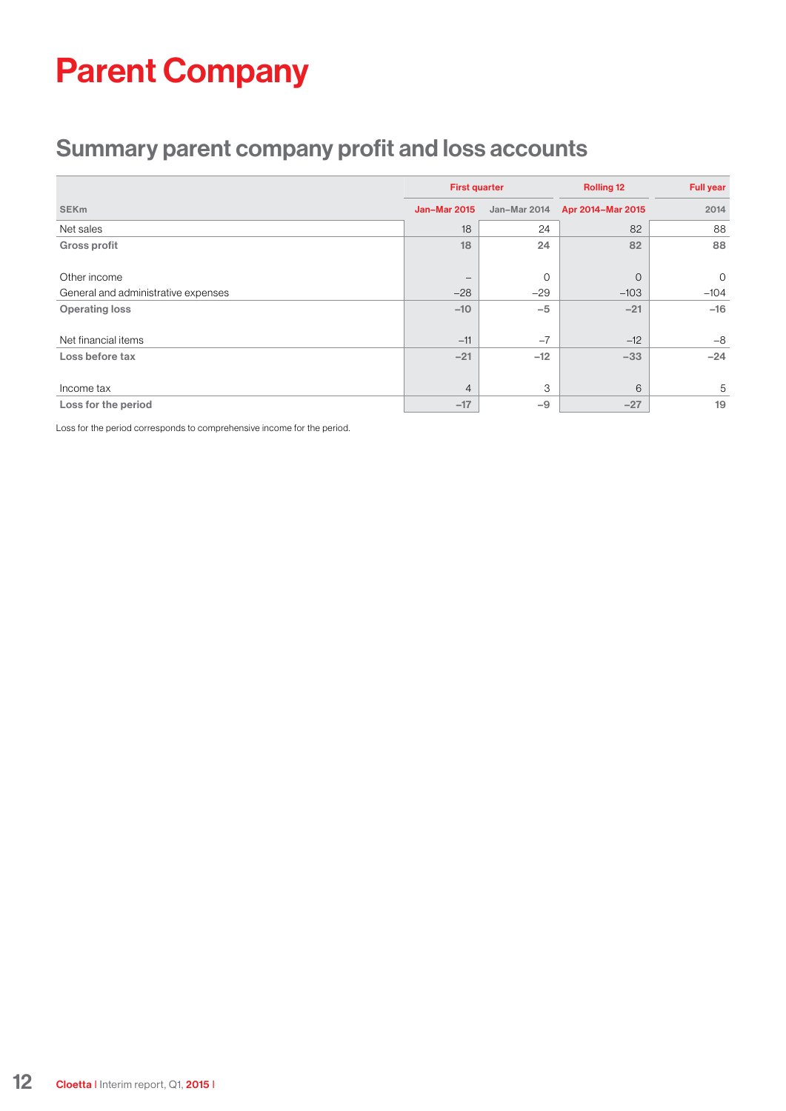# Parent Company

### Summary parent company profit and loss accounts

|                                     | <b>First quarter</b> |              | <b>Rolling 12</b> | <b>Full year</b><br>2014 |  |
|-------------------------------------|----------------------|--------------|-------------------|--------------------------|--|
| <b>SEKm</b>                         | <b>Jan-Mar 2015</b>  | Jan-Mar 2014 | Apr 2014-Mar 2015 |                          |  |
| Net sales                           | 18                   | 24           | 82                | 88                       |  |
| Gross profit                        | 18                   | 24           | 82                | 88                       |  |
| Other income                        |                      | $\circ$      | $\circ$           | $\mathbf 0$              |  |
| General and administrative expenses | $-28$                | $-29$        | $-103$            | $-104$                   |  |
| <b>Operating loss</b>               | $-10$                | $-5$         | $-21$             | $-16$                    |  |
| Net financial items                 | $-11$                | $-7$         | $-12$             | $-8$                     |  |
| Loss before tax                     | $-21$                | $-12$        | $-33$             | $-24$                    |  |
| Income tax                          | $\overline{4}$       | 3            | 6                 | 5                        |  |
| Loss for the period                 | $-17$                | $-9$         | $-27$             | 19                       |  |

Loss for the period corresponds to comprehensive income for the period.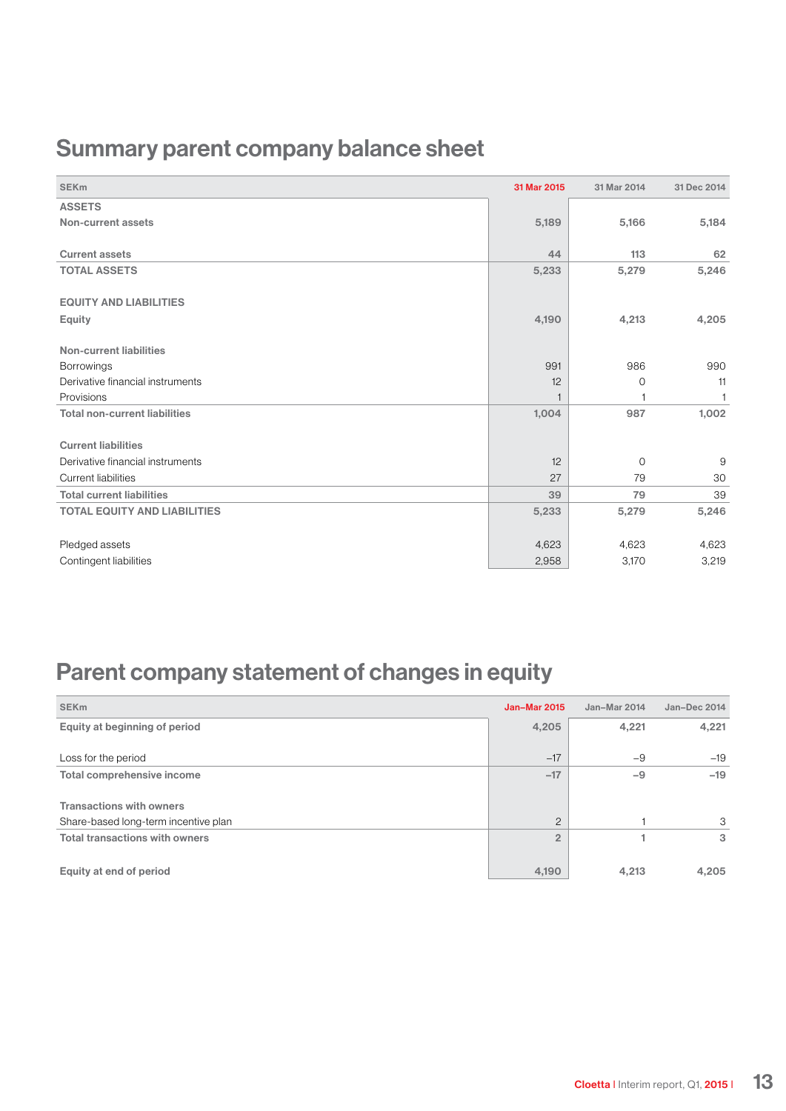### Summary parent company balance sheet

| <b>SEK<sub>m</sub></b>               | 31 Mar 2015 | 31 Mar 2014 | 31 Dec 2014  |
|--------------------------------------|-------------|-------------|--------------|
| <b>ASSETS</b>                        |             |             |              |
| Non-current assets                   | 5,189       | 5,166       | 5,184        |
| <b>Current assets</b>                | 44          | 113         | 62           |
|                                      |             |             |              |
| <b>TOTAL ASSETS</b>                  | 5,233       | 5,279       | 5,246        |
| <b>EQUITY AND LIABILITIES</b>        |             |             |              |
| Equity                               | 4,190       | 4,213       | 4,205        |
| <b>Non-current liabilities</b>       |             |             |              |
|                                      |             |             |              |
| <b>Borrowings</b>                    | 991         | 986         | 990          |
| Derivative financial instruments     | 12          | 0           | 11           |
| Provisions                           |             | 1           | $\mathbf{1}$ |
| <b>Total non-current liabilities</b> | 1,004       | 987         | 1,002        |
| <b>Current liabilities</b>           |             |             |              |
| Derivative financial instruments     | 12          | $\circ$     | 9            |
| <b>Current liabilities</b>           | 27          | 79          | 30           |
|                                      |             |             |              |
| <b>Total current liabilities</b>     | 39          | 79          | 39           |
| <b>TOTAL EQUITY AND LIABILITIES</b>  | 5,233       | 5,279       | 5,246        |
|                                      |             |             |              |
| Pledged assets                       | 4,623       | 4,623       | 4,623        |
| Contingent liabilities               | 2,958       | 3,170       | 3,219        |

### Parent company statement of changes in equity

| <b>SEK<sub>m</sub></b>                | <b>Jan-Mar 2015</b> | Jan-Mar 2014 | Jan-Dec 2014 |
|---------------------------------------|---------------------|--------------|--------------|
| Equity at beginning of period         | 4,205               | 4,221        | 4,221        |
|                                       |                     |              |              |
| Loss for the period                   | $-17$               | $-9$         | $-19$        |
| Total comprehensive income            | $-17$               | $-9$         | $-19$        |
|                                       |                     |              |              |
| <b>Transactions with owners</b>       |                     |              |              |
| Share-based long-term incentive plan  | $\overline{2}$      |              | 3            |
| <b>Total transactions with owners</b> | $\overline{2}$      |              | 3            |
|                                       |                     |              |              |
| Equity at end of period               | 4,190               | 4.213        | 4.205        |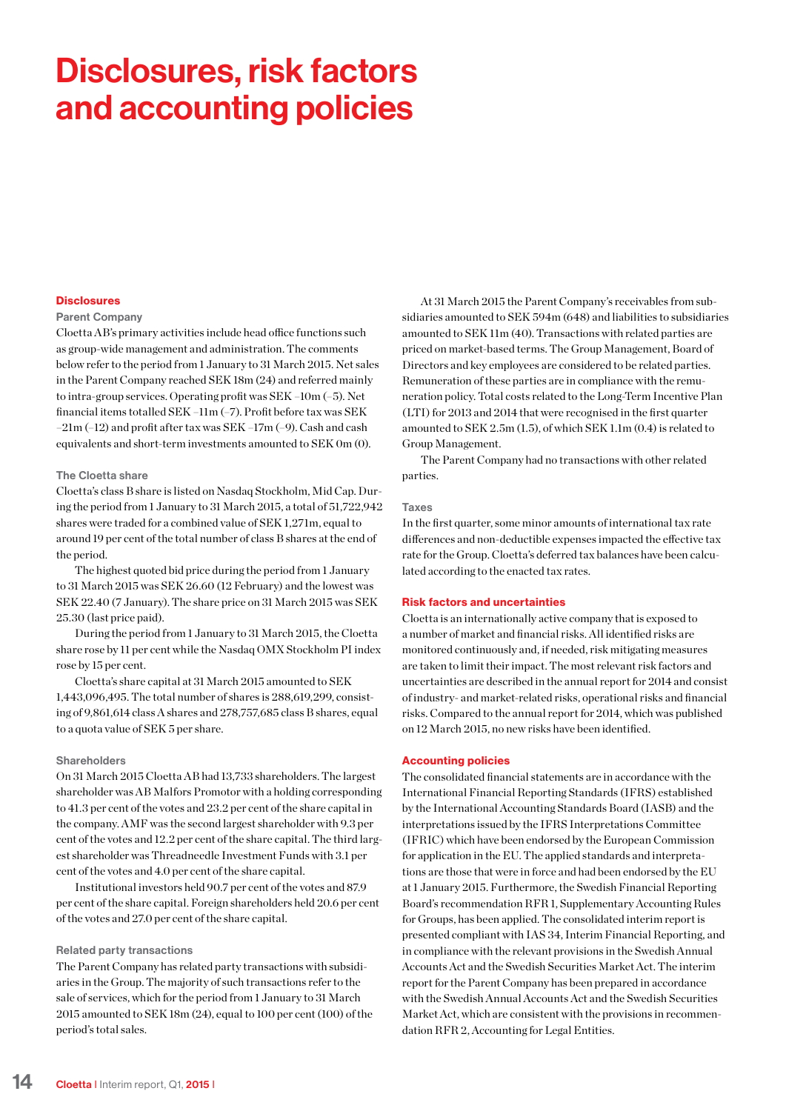# Disclosures, risk factors and accounting policies

#### **Disclosures**

#### Parent Company

Cloetta AB's primary activities include head office functions such as group-wide management and administration. The comments below refer to the period from 1 January to 31 March 2015. Net sales in the Parent Company reached SEK 18m (24) and referred mainly to intra-group services. Operating profit was SEK –10m (–5). Net financial items totalled SEK –11m (–7). Profit before tax was SEK –21m (–12) and profit after tax was SEK –17m (–9). Cash and cash equivalents and short-term investments amounted to SEK 0m (0).

#### The Cloetta share

Cloetta's class B share is listed on Nasdaq Stockholm, Mid Cap. During the period from 1 January to 31 March 2015, a total of 51,722,942 shares were traded for a combined value of SEK 1,271m, equal to around 19 per cent of the total number of class B shares at the end of the period.

The highest quoted bid price during the period from 1 January to 31 March 2015 was SEK 26.60 (12 February) and the lowest was SEK 22.40 (7 January). The share price on 31 March 2015 was SEK 25.30 (last price paid).

During the period from 1 January to 31 March 2015, the Cloetta share rose by 11 per cent while the Nasdaq OMX Stockholm PI index rose by 15 per cent.

Cloetta's share capital at 31 March 2015 amounted to SEK 1,443,096,495. The total number of shares is 288,619,299, consisting of 9,861,614 class A shares and 278,757,685 class B shares, equal to a quota value of SEK 5 per share.

#### **Shareholders**

On 31 March 2015 Cloetta AB had 13,733 shareholders. The largest shareholder was AB Malfors Promotor with a holding corresponding to 41.3 per cent of the votes and 23.2 per cent of the share capital in the company. AMF was the second largest shareholder with 9.3 per cent of the votes and 12.2 per cent of the share capital. The third largest shareholder was Threadneedle Investment Funds with 3.1 per cent of the votes and 4.0 per cent of the share capital.

Institutional investors held 90.7 per cent of the votes and 87.9 per cent of the share capital. Foreign shareholders held 20.6 per cent of the votes and 27.0 per cent of the share capital.

#### Related party transactions

The Parent Company has related party transactions with subsidiaries in the Group. The majority of such transactions refer to the sale of services, which for the period from 1 January to 31 March 2015 amounted to SEK 18m (24), equal to 100 per cent (100) of the period's total sales.

At 31 March 2015 the Parent Company's receivables from subsidiaries amounted to SEK 594m (648) and liabilities to subsidiaries amounted to SEK 11m (40). Transactions with related parties are priced on market-based terms. The Group Management, Board of Directors and key employees are considered to be related parties. Remuneration of these parties are in compliance with the remuneration policy. Total costs related to the Long-Term Incentive Plan (LTI) for 2013 and 2014 that were recognised in the first quarter amounted to SEK 2.5m (1.5), of which SEK 1.1m (0.4) is related to Group Management.

The Parent Company had no transactions with other related parties.

#### Taxes

In the first quarter, some minor amounts of international tax rate differences and non-deductible expenses impacted the effective tax rate for the Group. Cloetta's deferred tax balances have been calculated according to the enacted tax rates.

#### Risk factors and uncertainties

Cloetta is an internationally active company that is exposed to a number of market and financial risks. All identified risks are monitored continuously and, if needed, risk mitigating measures are taken to limit their impact. The most relevant risk factors and uncertainties are described in the annual report for 2014 and consist of industry- and market-related risks, operational risks and financial risks. Compared to the annual report for 2014, which was published on 12 March 2015, no new risks have been identified.

#### Accounting policies

The consolidated financial statements are in accordance with the International Financial Reporting Standards (IFRS) established by the International Accounting Standards Board (IASB) and the interpretations issued by the IFRS Interpretations Committee (IFRIC) which have been endorsed by the European Commission for application in the EU. The applied standards and interpretations are those that were in force and had been endorsed by the EU at 1 January 2015. Furthermore, the Swedish Financial Reporting Board's recommendation RFR 1, Supplementary Accounting Rules for Groups, has been applied. The consolidated interim report is presented compliant with IAS 34, Interim Financial Reporting, and in compliance with the relevant provisions in the Swedish Annual Accounts Act and the Swedish Securities Market Act. The interim report for the Parent Company has been prepared in accordance with the Swedish Annual Accounts Act and the Swedish Securities Market Act, which are consistent with the provisions in recommendation RFR 2, Accounting for Legal Entities.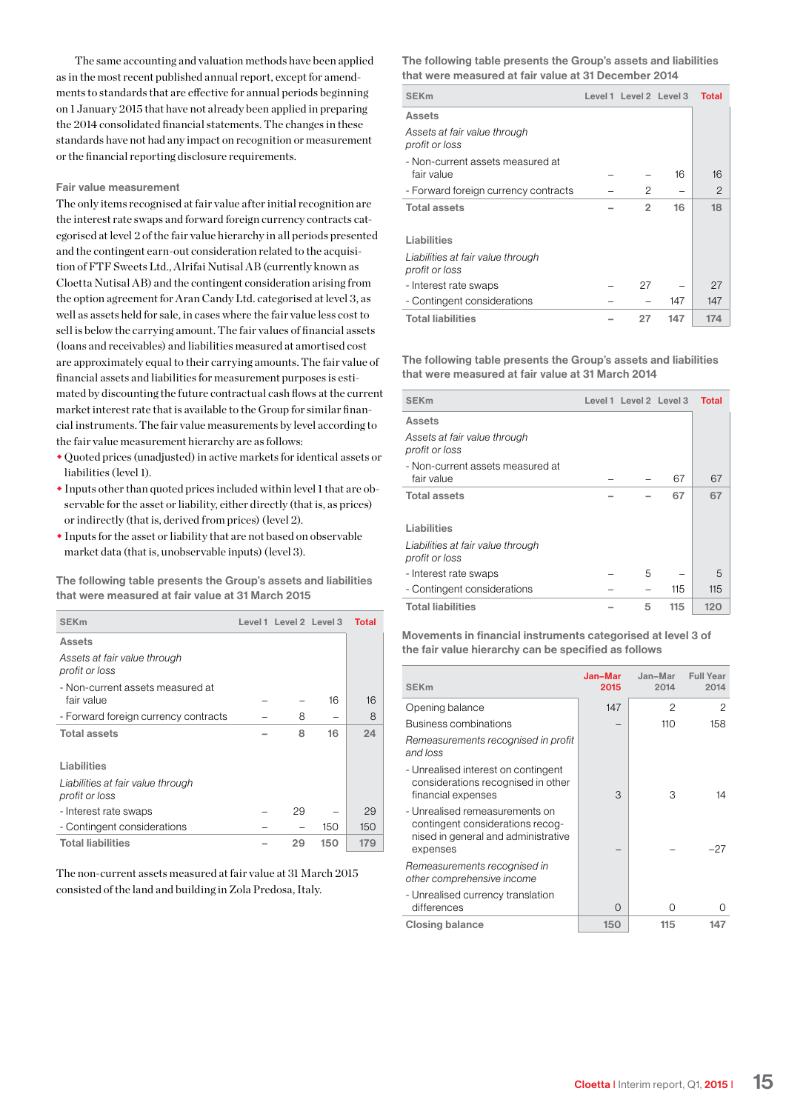The same accounting and valuation methods have been applied as in the most recent published annual report, except for amendments to standards that are effective for annual periods beginning on 1 January 2015 that have not already been applied in preparing the 2014 consolidated financial statements. The changes in these standards have not had any impact on recognition or measurement or the financial reporting disclosure requirements.

#### Fair value measurement

The only items recognised at fair value after initial recognition are the interest rate swaps and forward foreign currency contracts categorised at level 2 of the fair value hierarchy in all periods presented and the contingent earn-out consideration related to the acquisition of FTF Sweets Ltd., Alrifai Nutisal AB (currently known as Cloetta Nutisal AB) and the contingent consideration arising from the option agreement for Aran Candy Ltd. categorised at level 3, as well as assets held for sale, in cases where the fair value less cost to sell is below the carrying amount. The fair values of financial assets (loans and receivables) and liabilities measured at amortised cost are approximately equal to their carrying amounts. The fair value of financial assets and liabilities for measurement purposes is estimated by discounting the future contractual cash flows at the current market interest rate that is available to the Group for similar financial instruments. The fair value measurements by level according to the fair value measurement hierarchy are as follows:

- w Quoted prices (unadjusted) in active markets for identical assets or liabilities (level 1).
- $\bullet$  Inputs other than quoted prices included within level 1 that are observable for the asset or liability, either directly (that is, as prices) or indirectly (that is, derived from prices) (level 2).
- $\bullet$  Inputs for the asset or liability that are not based on observable market data (that is, unobservable inputs) (level 3).

The following table presents the Group's assets and liabilities that were measured at fair value at 31 March 2015

| <b>SEK<sub>m</sub></b>                              | Level 1 Level 2 Level 3 |     | <b>Total</b> |
|-----------------------------------------------------|-------------------------|-----|--------------|
| Assets                                              |                         |     |              |
| Assets at fair value through<br>profit or loss      |                         |     |              |
| - Non-current assets measured at<br>fair value      |                         | 16  | 16           |
| - Forward foreign currency contracts                | 8                       |     | 8            |
| <b>Total assets</b>                                 | 8                       | 16  | 24           |
| Liabilities                                         |                         |     |              |
| Liabilities at fair value through<br>profit or loss |                         |     |              |
| - Interest rate swaps                               | 29                      |     | 29           |
| - Contingent considerations                         |                         | 150 | 150          |
| <b>Total liabilities</b>                            | 29                      | 150 | 179          |

The non-current assets measured at fair value at 31 March 2015 consisted of the land and building in Zola Predosa, Italy.

The following table presents the Group's assets and liabilities that were measured at fair value at 31 December 2014

| <b>SEK<sub>m</sub></b>                         | Level 1 Level 2 Level 3 |     | <b>Total</b> |
|------------------------------------------------|-------------------------|-----|--------------|
| <b>Assets</b>                                  |                         |     |              |
| Assets at fair value through<br>profit or loss |                         |     |              |
| - Non-current assets measured at               |                         |     |              |
| fair value                                     |                         | 16  | 16           |
| - Forward foreign currency contracts           | 2                       |     | 2            |
| <b>Total assets</b>                            | $\overline{2}$          | 16  | 18           |
|                                                |                         |     |              |
| Liabilities                                    |                         |     |              |
| Liabilities at fair value through              |                         |     |              |
| profit or loss                                 |                         |     |              |
| - Interest rate swaps                          | 27                      |     | 27           |
| - Contingent considerations                    |                         | 147 | 147          |
| <b>Total liabilities</b>                       | 27                      | 147 | 174          |

The following table presents the Group's assets and liabilities that were measured at fair value at 31 March 2014

| <b>SEK<sub>m</sub></b>                              | Level 1 Level 2 Level 3 |     | <b>Total</b> |
|-----------------------------------------------------|-------------------------|-----|--------------|
| <b>Assets</b>                                       |                         |     |              |
| Assets at fair value through<br>profit or loss      |                         |     |              |
| - Non-current assets measured at<br>fair value      |                         | 67  | 67           |
| <b>Total assets</b>                                 |                         | 67  | 67           |
| Liabilities                                         |                         |     |              |
| Liabilities at fair value through<br>profit or loss |                         |     |              |
| - Interest rate swaps                               | 5                       |     | 5            |
| - Contingent considerations                         |                         | 115 | 115          |
| <b>Total liabilities</b>                            | 5                       | 115 | 120          |

Movements in financial instruments categorised at level 3 of the fair value hierarchy can be specified as follows

| <b>SEK<sub>m</sub></b>                                                                                                | Jan-Mar<br>2015 | Jan-Mar<br>2014 | <b>Full Year</b><br>2014 |
|-----------------------------------------------------------------------------------------------------------------------|-----------------|-----------------|--------------------------|
| Opening balance                                                                                                       | 147             | 2               | 2                        |
| Business combinations                                                                                                 |                 | 110             | 158                      |
| Remeasurements recognised in profit<br>and loss                                                                       |                 |                 |                          |
| - Unrealised interest on contingent<br>considerations recognised in other<br>financial expenses                       | 3               | З               | 14                       |
| - Unrealised remeasurements on<br>contingent considerations recog-<br>nised in general and administrative<br>expenses |                 |                 | $-27$                    |
| Remeasurements recognised in<br>other comprehensive income                                                            |                 |                 |                          |
| - Unrealised currency translation<br>differences                                                                      | ∩               | Ω               | Ω                        |
| <b>Closing balance</b>                                                                                                | 150             | 115             | 147                      |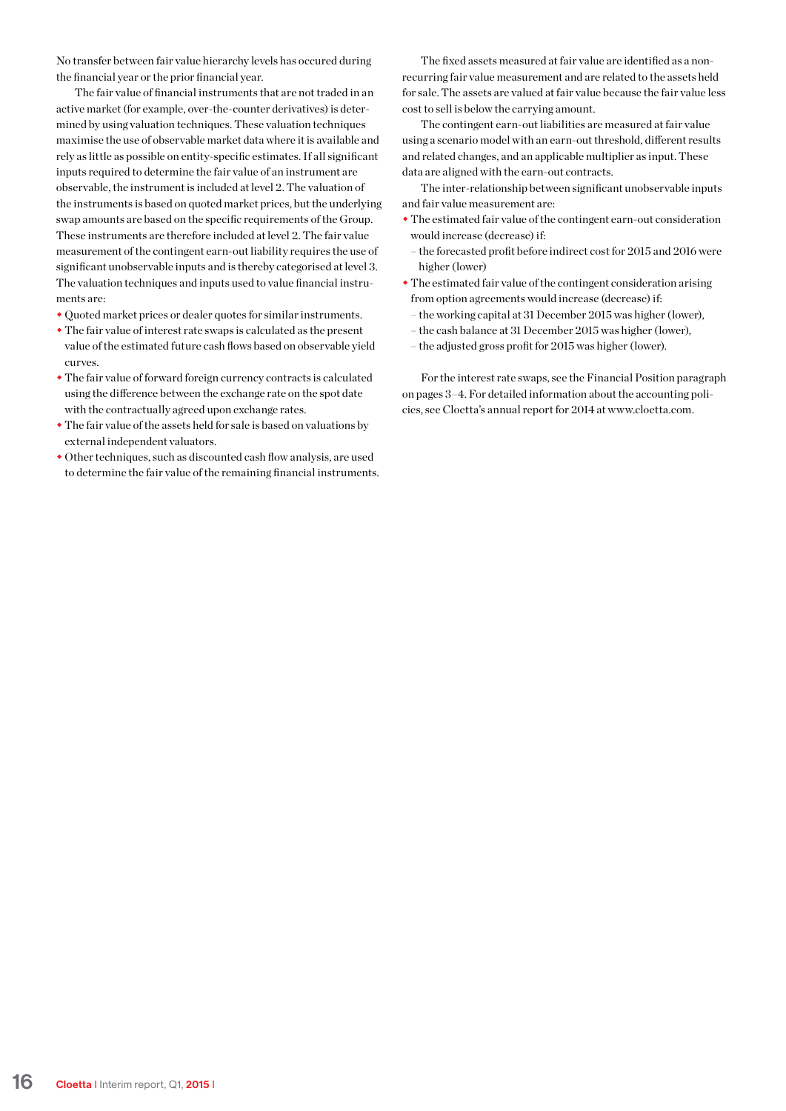No transfer between fair value hierarchy levels has occured during the financial year or the prior financial year.

The fair value of financial instruments that are not traded in an active market (for example, over-the-counter derivatives) is determined by using valuation techniques. These valuation techniques maximise the use of observable market data where it is available and rely as little as possible on entity-specific estimates. If all significant inputs required to determine the fair value of an instrument are observable, the instrument is included at level 2. The valuation of the instruments is based on quoted market prices, but the underlying swap amounts are based on the specific requirements of the Group. These instruments are therefore included at level 2. The fair value measurement of the contingent earn-out liability requires the use of significant unobservable inputs and is thereby categorised at level 3. The valuation techniques and inputs used to value financial instruments are:

- Quoted market prices or dealer quotes for similar instruments.
- $\cdot$  The fair value of interest rate swaps is calculated as the present value of the estimated future cash flows based on observable yield curves.
- $\bullet$  The fair value of forward foreign currency contracts is calculated using the difference between the exchange rate on the spot date with the contractually agreed upon exchange rates.
- $\bullet$  The fair value of the assets held for sale is based on valuations by external independent valuators.
- $\bullet$  Other techniques, such as discounted cash flow analysis, are used to determine the fair value of the remaining financial instruments.

The fixed assets measured at fair value are identified as a nonrecurring fair value measurement and are related to the assets held for sale. The assets are valued at fair value because the fair value less cost to sell is below the carrying amount.

The contingent earn-out liabilities are measured at fair value using a scenario model with an earn-out threshold, different results and related changes, and an applicable multiplier as input. These data are aligned with the earn-out contracts.

The inter-relationship between significant unobservable inputs and fair value measurement are:

- The estimated fair value of the contingent earn-out consideration would increase (decrease) if:
- the forecasted profit before indirect cost for 2015 and 2016 were higher (lower)
- $\bullet$  The estimated fair value of the contingent consideration arising from option agreements would increase (decrease) if:
	- the working capital at 31 December 2015 was higher (lower),
	- the cash balance at 31 December 2015 was higher (lower),
	- the adjusted gross profit for 2015 was higher (lower).

For the interest rate swaps, see the Financial Position paragraph on pages 3–4. For detailed information about the accounting policies, see Cloetta's annual report for 2014 at www.cloetta.com.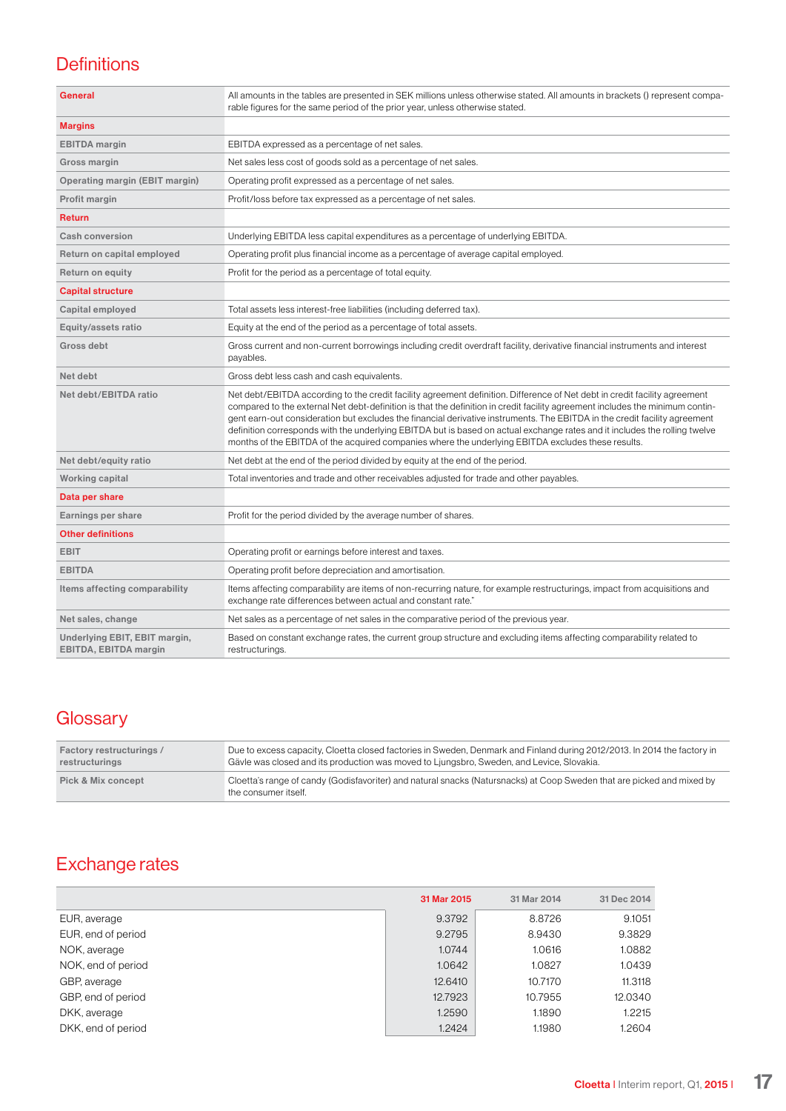### **Definitions**

| <b>General</b>                                                | All amounts in the tables are presented in SEK millions unless otherwise stated. All amounts in brackets () represent compa-<br>rable figures for the same period of the prior year, unless otherwise stated.                                                                                                                                                                                                                                                                                                                                                                                                                 |
|---------------------------------------------------------------|-------------------------------------------------------------------------------------------------------------------------------------------------------------------------------------------------------------------------------------------------------------------------------------------------------------------------------------------------------------------------------------------------------------------------------------------------------------------------------------------------------------------------------------------------------------------------------------------------------------------------------|
| <b>Margins</b>                                                |                                                                                                                                                                                                                                                                                                                                                                                                                                                                                                                                                                                                                               |
| <b>EBITDA</b> margin                                          | EBITDA expressed as a percentage of net sales.                                                                                                                                                                                                                                                                                                                                                                                                                                                                                                                                                                                |
| Gross margin                                                  | Net sales less cost of goods sold as a percentage of net sales.                                                                                                                                                                                                                                                                                                                                                                                                                                                                                                                                                               |
| Operating margin (EBIT margin)                                | Operating profit expressed as a percentage of net sales.                                                                                                                                                                                                                                                                                                                                                                                                                                                                                                                                                                      |
| Profit margin                                                 | Profit/loss before tax expressed as a percentage of net sales.                                                                                                                                                                                                                                                                                                                                                                                                                                                                                                                                                                |
| <b>Return</b>                                                 |                                                                                                                                                                                                                                                                                                                                                                                                                                                                                                                                                                                                                               |
| Cash conversion                                               | Underlying EBITDA less capital expenditures as a percentage of underlying EBITDA.                                                                                                                                                                                                                                                                                                                                                                                                                                                                                                                                             |
| Return on capital employed                                    | Operating profit plus financial income as a percentage of average capital employed.                                                                                                                                                                                                                                                                                                                                                                                                                                                                                                                                           |
| <b>Return on equity</b>                                       | Profit for the period as a percentage of total equity.                                                                                                                                                                                                                                                                                                                                                                                                                                                                                                                                                                        |
| <b>Capital structure</b>                                      |                                                                                                                                                                                                                                                                                                                                                                                                                                                                                                                                                                                                                               |
| Capital employed                                              | Total assets less interest-free liabilities (including deferred tax).                                                                                                                                                                                                                                                                                                                                                                                                                                                                                                                                                         |
| Equity/assets ratio                                           | Equity at the end of the period as a percentage of total assets.                                                                                                                                                                                                                                                                                                                                                                                                                                                                                                                                                              |
| Gross debt                                                    | Gross current and non-current borrowings including credit overdraft facility, derivative financial instruments and interest<br>payables.                                                                                                                                                                                                                                                                                                                                                                                                                                                                                      |
| Net debt                                                      | Gross debt less cash and cash equivalents.                                                                                                                                                                                                                                                                                                                                                                                                                                                                                                                                                                                    |
| Net debt/EBITDA ratio                                         | Net debt/EBITDA according to the credit facility agreement definition. Difference of Net debt in credit facility agreement<br>compared to the external Net debt-definition is that the definition in credit facility agreement includes the minimum contin-<br>gent earn-out consideration but excludes the financial derivative instruments. The EBITDA in the credit facility agreement<br>definition corresponds with the underlying EBITDA but is based on actual exchange rates and it includes the rolling twelve<br>months of the EBITDA of the acquired companies where the underlying EBITDA excludes these results. |
| Net debt/equity ratio                                         | Net debt at the end of the period divided by equity at the end of the period.                                                                                                                                                                                                                                                                                                                                                                                                                                                                                                                                                 |
| <b>Working capital</b>                                        | Total inventories and trade and other receivables adjusted for trade and other payables.                                                                                                                                                                                                                                                                                                                                                                                                                                                                                                                                      |
| Data per share                                                |                                                                                                                                                                                                                                                                                                                                                                                                                                                                                                                                                                                                                               |
| Earnings per share                                            | Profit for the period divided by the average number of shares.                                                                                                                                                                                                                                                                                                                                                                                                                                                                                                                                                                |
| <b>Other definitions</b>                                      |                                                                                                                                                                                                                                                                                                                                                                                                                                                                                                                                                                                                                               |
| <b>EBIT</b>                                                   | Operating profit or earnings before interest and taxes.                                                                                                                                                                                                                                                                                                                                                                                                                                                                                                                                                                       |
| <b>EBITDA</b>                                                 | Operating profit before depreciation and amortisation.                                                                                                                                                                                                                                                                                                                                                                                                                                                                                                                                                                        |
| Items affecting comparability                                 | Items affecting comparability are items of non-recurring nature, for example restructurings, impact from acquisitions and<br>exchange rate differences between actual and constant rate."                                                                                                                                                                                                                                                                                                                                                                                                                                     |
| Net sales, change                                             | Net sales as a percentage of net sales in the comparative period of the previous year.                                                                                                                                                                                                                                                                                                                                                                                                                                                                                                                                        |
| Underlying EBIT, EBIT margin,<br><b>EBITDA, EBITDA margin</b> | Based on constant exchange rates, the current group structure and excluding items affecting comparability related to<br>restructurings.                                                                                                                                                                                                                                                                                                                                                                                                                                                                                       |

### **Glossary**

| <b>Factory restructurings /</b> | Due to excess capacity, Cloetta closed factories in Sweden, Denmark and Finland during 2012/2013. In 2014 the factory in                       |
|---------------------------------|------------------------------------------------------------------------------------------------------------------------------------------------|
| restructurings                  | Gävle was closed and its production was moved to Ljungsbro, Sweden, and Levice, Slovakia.                                                      |
| <b>Pick &amp; Mix concept</b>   | Cloetta's range of candy (Godisfavoriter) and natural snacks (Natursnacks) at Coop Sweden that are picked and mixed by<br>the consumer itself. |

### Exchange rates

|                    | 31 Mar 2015 | 31 Mar 2014 | 31 Dec 2014 |
|--------------------|-------------|-------------|-------------|
| EUR, average       | 9.3792      | 8.8726      | 9.1051      |
| EUR, end of period | 9.2795      | 8.9430      | 9.3829      |
| NOK, average       | 1.0744      | 1.0616      | 1.0882      |
| NOK, end of period | 1.0642      | 1.0827      | 1.0439      |
| GBP, average       | 12.6410     | 10.7170     | 11.3118     |
| GBP, end of period | 12.7923     | 10.7955     | 12.0340     |
| DKK, average       | 1.2590      | 1.1890      | 1.2215      |
| DKK, end of period | 1.2424      | 1.1980      | 1.2604      |